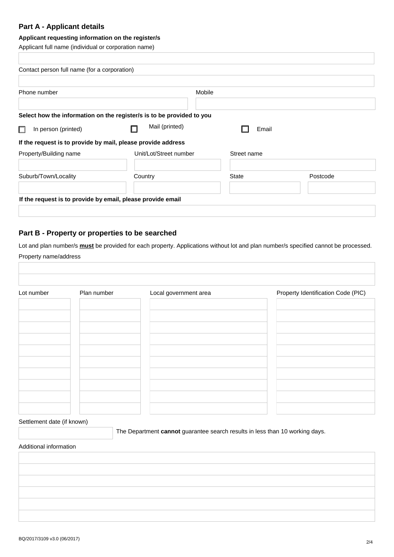# **Part A - Applicant details**

### Applicant requesting information on the register/s

Applicant full name (individual or corporation name)

| Contact person full name (for a corporation)                 |                                                                       |              |          |  |
|--------------------------------------------------------------|-----------------------------------------------------------------------|--------------|----------|--|
| Phone number                                                 |                                                                       | Mobile       |          |  |
|                                                              | Select how the information on the register/s is to be provided to you |              |          |  |
| $\Box$<br>In person (printed)                                | Mail (printed)                                                        | Email        |          |  |
| If the request is to provide by mail, please provide address |                                                                       |              |          |  |
| Property/Building name                                       | Unit/Lot/Street number                                                | Street name  |          |  |
| Suburb/Town/Locality                                         | Country                                                               | <b>State</b> | Postcode |  |
| If the request is to provide by email, please provide email  |                                                                       |              |          |  |

## Part B - Property or properties to be searched

Lot and plan number/s must be provided for each property. Applications without lot and plan number/s specified cannot be processed. Property name/address

| Lot number | Plan number | Local government area | Property Identification Code (PIC) |
|------------|-------------|-----------------------|------------------------------------|
|            |             |                       |                                    |
|            |             |                       |                                    |
|            |             |                       |                                    |
|            |             |                       |                                    |
|            |             |                       |                                    |
|            |             |                       |                                    |
|            |             |                       |                                    |
|            |             |                       |                                    |

Settlement date (if known)

The Department cannot guarantee search results in less than 10 working days.

#### Additional information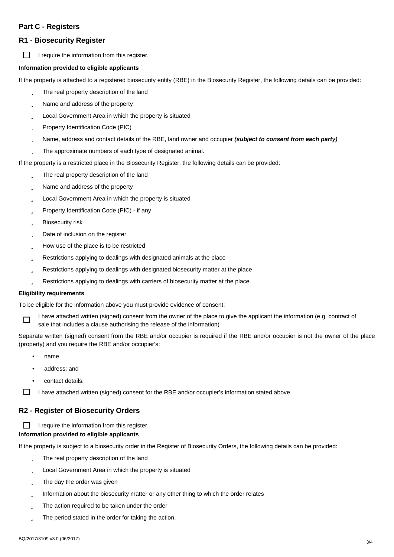## **Part C - Registers**

## **R1 - Biosecurity Register**

П I require the information from this register.

#### Information provided to eligible applicants

If the property is attached to a registered biosecurity entity (RBE) in the Biosecurity Register, the following details can be provided:

- The real property description of the land  $\ddot{1}$
- Ü Name and address of the property
- Local Government Area in which the property is situated Ĥ
- Property Identification Code (PIC) ü
- Name, address and contact details of the RBE, land owner and occupier (subject to consent from each party) ü
- The approximate numbers of each type of designated animal. Ĥ

If the property is a restricted place in the Biosecurity Register, the following details can be provided:

- The real property description of the land  $\ddot{1}$
- Name and address of the property  $\ddot{1}$
- Local Government Area in which the property is situated Ŭ
- Property Identification Code (PIC) if any Ĥ
- **Biosecurity** risk ü
- Ĥ Date of inclusion on the register
- How use of the place is to be restricted Ü
- Restrictions applying to dealings with designated animals at the place ü
- Ŭ Restrictions applying to dealings with designated biosecurity matter at the place
- Restrictions applying to dealings with carriers of biosecurity matter at the place. Ĥ

#### **Eligibility requirements**

To be eligible for the information above you must provide evidence of consent:



I have attached written (signed) consent from the owner of the place to give the applicant the information (e.g. contract of sale that includes a clause authorising the release of the information)

Separate written (signed) consent from the RBE and/or occupier is required if the RBE and/or occupier is not the owner of the place (property) and you require the RBE and/or occupier's:

- name,
- address: and
- contact details.

 $\Box$ I have attached written (signed) consent for the RBE and/or occupier's information stated above.

### R2 - Register of Biosecurity Orders

I require the information from this register. П

#### Information provided to eligible applicants

If the property is subject to a biosecurity order in the Register of Biosecurity Orders, the following details can be provided:

- Ü The real property description of the land
- Local Government Area in which the property is situated Ü
- The day the order was given ü
- Information about the biosecurity matter or any other thing to which the order relates Ü
- The action required to be taken under the order Ŭ
- The period stated in the order for taking the action. ü